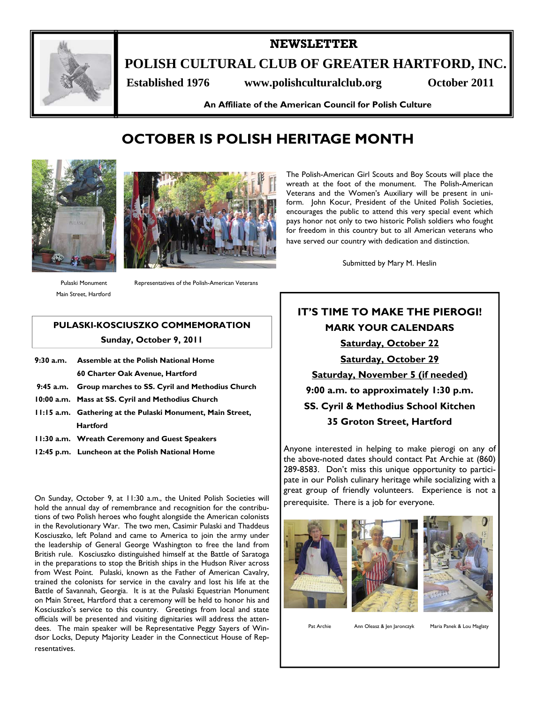

### **NEWSLETTER**

**POLISH CULTURAL CLUB OF GREATER HARTFORD, INC.** 

 **Established 1976 www.polishculturalclub.org October 2011** 

**An Affiliate of the American Council for Polish Culture** 

# **OCTOBER IS POLISH HERITAGE MONTH**





Pulaski Monument Main Street, Hartford Representatives of the Polish-American Veterans

### **PULASKI-KOSCIUSZKO COMMEMORATION Sunday, October 9, 2011**

- **9:30 a.m. Assemble at the Polish National Home 60 Charter Oak Avenue, Hartford 9:45 a.m. Group marches to SS. Cyril and Methodius Church**
- **10:00 a.m. Mass at SS. Cyril and Methodius Church**
- **11:15 a.m. Gathering at the Pulaski Monument, Main Street, Hartford**
- **11:30 a.m. Wreath Ceremony and Guest Speakers**
- **12:45 p.m. Luncheon at the Polish National Home**

On Sunday, October 9, at 11:30 a.m., the United Polish Societies will hold the annual day of remembrance and recognition for the contributions of two Polish heroes who fought alongside the American colonists in the Revolutionary War. The two men, Casimir Pulaski and Thaddeus Kosciuszko, left Poland and came to America to join the army under the leadership of General George Washington to free the land from British rule. Kosciuszko distinguished himself at the Battle of Saratoga in the preparations to stop the British ships in the Hudson River across from West Point. Pulaski, known as the Father of American Cavalry, trained the colonists for service in the cavalry and lost his life at the Battle of Savannah, Georgia. It is at the Pulaski Equestrian Monument on Main Street, Hartford that a ceremony will be held to honor his and Kosciuszko's service to this country. Greetings from local and state officials will be presented and visiting dignitaries will address the attendees. The main speaker will be Representative Peggy Sayers of Windsor Locks, Deputy Majority Leader in the Connecticut House of Representatives.

The Polish-American Girl Scouts and Boy Scouts will place the wreath at the foot of the monument. The Polish-American Veterans and the Women's Auxiliary will be present in uniform. John Kocur, President of the United Polish Societies, encourages the public to attend this very special event which pays honor not only to two historic Polish soldiers who fought for freedom in this country but to all American veterans who have served our country with dedication and distinction.

Submitted by Mary M. Heslin

## **IT'S TIME TO MAKE THE PIEROGI! MARK YOUR CALENDARS Saturday, October 22 Saturday, October 29 Saturday, November 5 (if needed) 9:00 a.m. to approximately 1:30 p.m. SS. Cyril & Methodius School Kitchen 35 Groton Street, Hartford**

Anyone interested in helping to make pierogi on any of the above-noted dates should contact Pat Archie at (860) 289-8583. Don't miss this unique opportunity to participate in our Polish culinary heritage while socializing with a great group of friendly volunteers. Experience is not a prerequisite. There is a job for everyone.







Pat Archie Ann Oleasz & Jen Jaronczyk Maria Panek & Lou Maglaty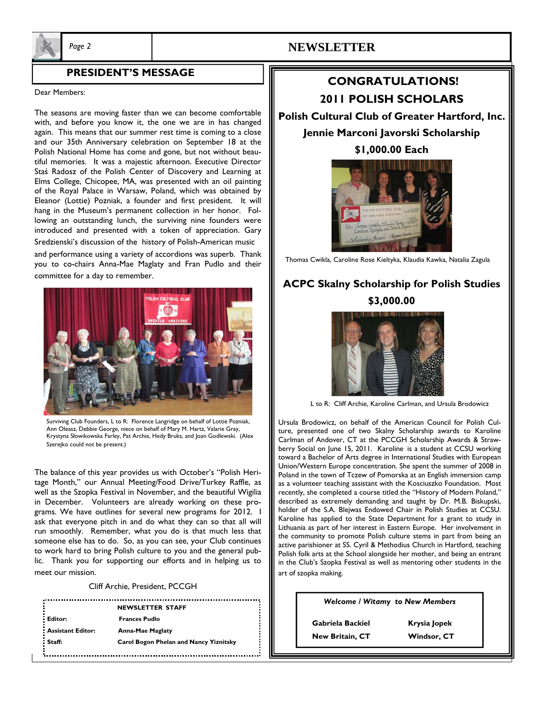

## *Page 2* **NEWSLETTER**

#### **PRESIDENT'S MESSAGE**

#### Dear Members:

The seasons are moving faster than we can become comfortable with, and before you know it, the one we are in has changed again. This means that our summer rest time is coming to a close and our 35th Anniversary celebration on September 18 at the Polish National Home has come and gone, but not without beautiful memories. It was a majestic afternoon. Executive Director Staś Radosz of the Polish Center of Discovery and Learning at Elms College, Chicopee, MA, was presented with an oil painting of the Royal Palace in Warsaw, Poland, which was obtained by Eleanor (Lottie) Pozniak, a founder and first president. It will hang in the Museum's permanent collection in her honor. Following an outstanding lunch, the surviving nine founders were introduced and presented with a token of appreciation. Gary Sredzienski's discussion of the history of Polish-American music

and performance using a variety of accordions was superb. Thank you to co-chairs Anna-Mae Maglaty and Fran Pudlo and their committee for a day to remember.



Surviving Club Founders, L to R: Florence Langridge on behalf of Lottie Pozniak, Ann Oleasz, Debbie George, niece on behalf of Mary M. Hartz, Valarie Gray, Krystyna Słowikowska Farley, Pat Archie, Hedy Bruks, and Joan Godlewski. (Alex Szerejko could not be present.)

The balance of this year provides us with October's "Polish Heritage Month," our Annual Meeting/Food Drive/Turkey Raffle, as well as the Szopka Festival in November, and the beautiful Wigilia in December. Volunteers are already working on these programs. We have outlines for several new programs for 2012. I ask that everyone pitch in and do what they can so that all will run smoothly. Remember, what you do is that much less that someone else has to do. So, as you can see, your Club continues to work hard to bring Polish culture to you and the general public. Thank you for supporting our efforts and in helping us to meet our mission.

#### Cliff Archie, President, PCCGH

|                          | <b>NEWSLETTER STAFF</b>                       |
|--------------------------|-----------------------------------------------|
| Editor:                  | <b>Frances Pudlo</b>                          |
| <b>Assistant Editor:</b> | <b>Anna-Mae Maglaty</b>                       |
| Staff:                   | <b>Carol Bogon Phelan and Nancy Yiznitsky</b> |
|                          |                                               |

## **CONGRATULATIONS! 2011 POLISH SCHOLARS**

**Polish Cultural Club of Greater Hartford, Inc. Jennie Marconi Javorski Scholarship** 

**\$1,000.00 Each** 



Thomas Cwikla, Caroline Rose Kieltyka, Klaudia Kawka, Natalia Zagula

## **ACPC Skalny Scholarship for Polish Studies \$3,000.00**



L to R: Cliff Archie, Karoline Carlman, and Ursula Brodowicz

Ursula Brodowicz, on behalf of the American Council for Polish Culture, presented one of two Skalny Scholarship awards to Karoline Carlman of Andover, CT at the PCCGH Scholarship Awards & Strawberry Social on June 15, 2011. Karoline is a student at CCSU working toward a Bachelor of Arts degree in International Studies with European Union/Western Europe concentration. She spent the summer of 2008 in Poland in the town of Tczew of Pomorska at an English immersion camp as a volunteer teaching assistant with the Kosciuszko Foundation. Most recently, she completed a course titled the "History of Modern Poland," described as extremely demanding and taught by Dr. M.B. Biskupski, holder of the S.A. Blejwas Endowed Chair in Polish Studies at CCSU. Karoline has applied to the State Department for a grant to study in Lithuania as part of her interest in Eastern Europe. Her involvement in the community to promote Polish culture stems in part from being an active parishioner at SS. Cyril & Methodius Church in Hartford, teaching Polish folk arts at the School alongside her mother, and being an entrant in the Club's Szopka Festival as well as mentoring other students in the art of szopka making.

*Welcome / Witamy to New Members* 

 **Gabriela Backiel Krysia Jopek New Britain, CT Windsor, CT**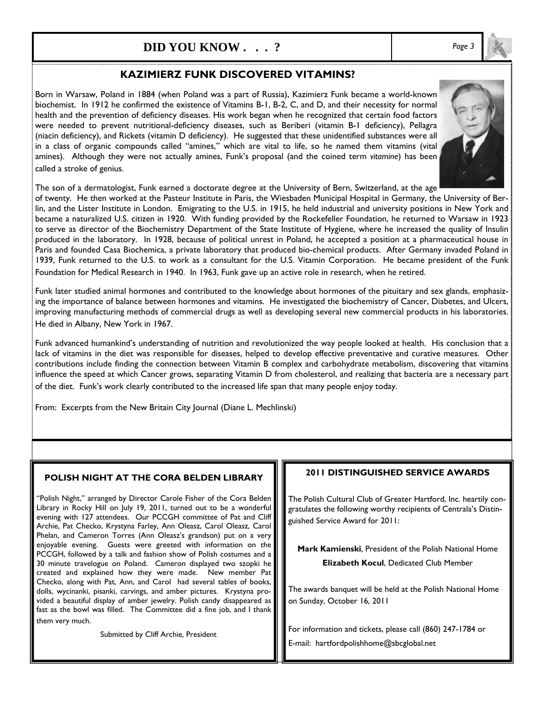## **DID YOU KNOW . . . ?** *Page 3*

### **KAZIMIERZ FUNK DISCOVERED VITAMINS?**

Born in Warsaw, Poland in 1884 (when Poland was a part of Russia), Kazimierz Funk became a world-known biochemist. In 1912 he confirmed the existence of Vitamins B-1, B-2, C, and D, and their necessity for normal health and the prevention of deficiency diseases. His work began when he recognized that certain food factors were needed to prevent nutritional-deficiency diseases, such as Beriberi (vitamin B-1 deficiency), Pellagra (niacin deficiency), and Rickets (vitamin D deficiency). He suggested that these unidentified substances were all in a class of organic compounds called "amines," which are vital to life, so he named them vitamins (vital amines). Although they were not actually amines, Funk's proposal (and the coined term *vitamine*) has been called a stroke of genius.



The son of a dermatologist, Funk earned a doctorate degree at the University of Bern, Switzerland, at the age

of twenty. He then worked at the Pasteur Institute in Paris, the Wiesbaden Municipal Hospital in Germany, the University of Berlin, and the Lister Institute in London. Emigrating to the U.S. in 1915, he held industrial and university positions in New York and became a naturalized U.S. citizen in 1920. With funding provided by the Rockefeller Foundation, he returned to Warsaw in 1923 to serve as director of the Biochemistry Department of the State Institute of Hygiene, where he increased the quality of Insulin produced in the laboratory. In 1928, because of political unrest in Poland, he accepted a position at a pharmaceutical house in Paris and founded Casa Biochemica, a private laboratory that produced bio-chemical products. After Germany invaded Poland in 1939, Funk returned to the U.S. to work as a consultant for the U.S. Vitamin Corporation. He became president of the Funk

Foundation for Medical Research in 1940. In 1963, Funk gave up an active role in research, when he retired.

Funk later studied animal hormones and contributed to the knowledge about hormones of the pituitary and sex glands, emphasizing the importance of balance between hormones and vitamins. He investigated the biochemistry of Cancer, Diabetes, and Ulcers, improving manufacturing methods of commercial drugs as well as developing several new commercial products in his laboratories. He died in Albany, New York in 1967.

Funk advanced humankind's understanding of nutrition and revolutionized the way people looked at health. His conclusion that a lack of vitamins in the diet was responsible for diseases, helped to develop effective preventative and curative measures. Other contributions include finding the connection between Vitamin B complex and carbohydrate metabolism, discovering that vitamins influence the speed at which Cancer grows, separating Vitamin D from cholesterol, and realizing that bacteria are a necessary part of the diet. Funk's work clearly contributed to the increased life span that many people enjoy today.

From: Excerpts from the New Britain City Journal (Diane L. Mechlinski)

#### **POLISH NIGHT AT THE CORA BELDEN LIBRARY**

"Polish Night," arranged by Director Carole Fisher of the Cora Belden Library in Rocky Hill on July 19, 2011, turned out to be a wonderful evening with 127 attendees. Our PCCGH committee of Pat and Cliff Archie, Pat Checko, Krystyna Farley, Ann Oleasz, Carol Oleasz, Carol Phelan, and Cameron Torres (Ann Oleasz's grandson) put on a very enjoyable evening. Guests were greeted with information on the PCCGH, followed by a talk and fashion show of Polish costumes and a 30 minute travelogue on Poland. Cameron displayed two szopki he created and explained how they were made. New member Pat Checko, along with Pat, Ann, and Carol had several tables of books, dolls, wycinanki, pisanki, carvings, and amber pictures. Krystyna provided a beautiful display of amber jewelry. Polish candy disappeared as fast as the bowl was filled. The Committee did a fine job, and I thank them very much.

Submitted by Cliff Archie, President

#### **2011 DISTINGUISHED SERVICE AWARDS**

The Polish Cultural Club of Greater Hartford, Inc. heartily congratulates the following worthy recipients of Centrala's Distinguished Service Award for 2011:

**Mark Kamienski**, President of the Polish National Home **Elizabeth Kocul**, Dedicated Club Member

The awards banquet will be held at the Polish National Home on Sunday, October 16, 2011

For information and tickets, please call (860) 247-1784 or E-mail: hartfordpolishhome@sbcglobal.net